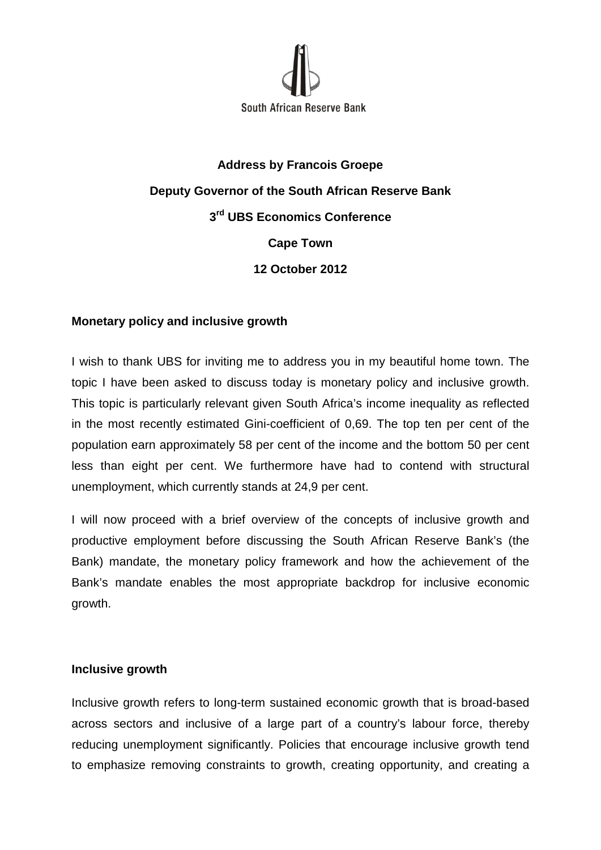

# **Address by Francois Groepe Deputy Governor of the South African Reserve Bank 3rd UBS Economics Conference Cape Town 12 October 2012**

## **Monetary policy and inclusive growth**

I wish to thank UBS for inviting me to address you in my beautiful home town. The topic I have been asked to discuss today is monetary policy and inclusive growth. This topic is particularly relevant given South Africa's income inequality as reflected in the most recently estimated Gini-coefficient of 0,69. The top ten per cent of the population earn approximately 58 per cent of the income and the bottom 50 per cent less than eight per cent. We furthermore have had to contend with structural unemployment, which currently stands at 24,9 per cent.

I will now proceed with a brief overview of the concepts of inclusive growth and productive employment before discussing the South African Reserve Bank's (the Bank) mandate, the monetary policy framework and how the achievement of the Bank's mandate enables the most appropriate backdrop for inclusive economic growth.

## **Inclusive growth**

Inclusive growth refers to long-term sustained economic growth that is broad-based across sectors and inclusive of a large part of a country's labour force, thereby reducing unemployment significantly. Policies that encourage inclusive growth tend to emphasize removing constraints to growth, creating opportunity, and creating a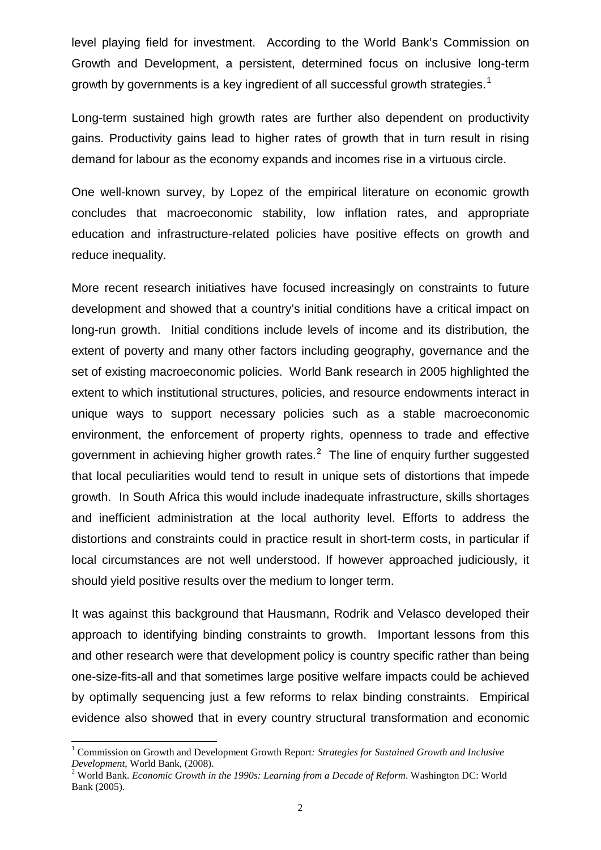level playing field for investment. According to the World Bank's Commission on Growth and Development, a persistent, determined focus on inclusive long-term growth by governments is a key ingredient of all successful growth strategies.<sup>[1](#page-1-0)</sup>

Long-term sustained high growth rates are further also dependent on productivity gains. Productivity gains lead to higher rates of growth that in turn result in rising demand for labour as the economy expands and incomes rise in a virtuous circle.

One well-known survey, by Lopez of the empirical literature on economic growth concludes that macroeconomic stability, low inflation rates, and appropriate education and infrastructure-related policies have positive effects on growth and reduce inequality.

More recent research initiatives have focused increasingly on constraints to future development and showed that a country's initial conditions have a critical impact on long-run growth. Initial conditions include levels of income and its distribution, the extent of poverty and many other factors including geography, governance and the set of existing macroeconomic policies. World Bank research in 2005 highlighted the extent to which institutional structures, policies, and resource endowments interact in unique ways to support necessary policies such as a stable macroeconomic environment, the enforcement of property rights, openness to trade and effective government in achieving higher growth rates. $2$  The line of enquiry further suggested that local peculiarities would tend to result in unique sets of distortions that impede growth. In South Africa this would include inadequate infrastructure, skills shortages and inefficient administration at the local authority level. Efforts to address the distortions and constraints could in practice result in short-term costs, in particular if local circumstances are not well understood. If however approached judiciously, it should yield positive results over the medium to longer term.

It was against this background that Hausmann, Rodrik and Velasco developed their approach to identifying binding constraints to growth. Important lessons from this and other research were that development policy is country specific rather than being one-size-fits-all and that sometimes large positive welfare impacts could be achieved by optimally sequencing just a few reforms to relax binding constraints. Empirical evidence also showed that in every country structural transformation and economic

<span id="page-1-0"></span><sup>&</sup>lt;sup>1</sup> Commission on Growth and Development Growth Report: Strategies for Sustained Growth and Inclusive Development. World Bank. (2008).

<span id="page-1-1"></span><sup>&</sup>lt;sup>2</sup> World Bank. *Economic Growth in the 1990s: Learning from a Decade of Reform*. Washington DC: World Bank (2005).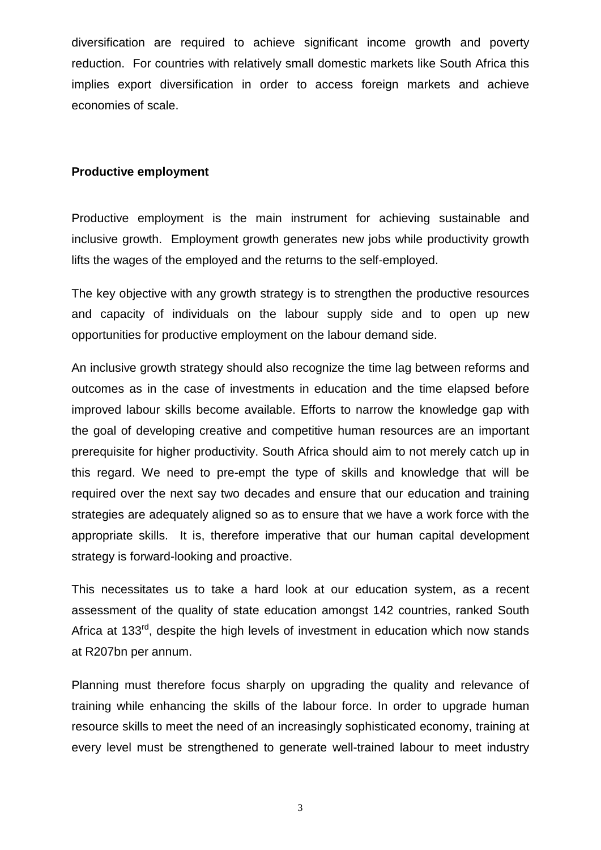diversification are required to achieve significant income growth and poverty reduction. For countries with relatively small domestic markets like South Africa this implies export diversification in order to access foreign markets and achieve economies of scale.

### **Productive employment**

Productive employment is the main instrument for achieving sustainable and inclusive growth. Employment growth generates new jobs while productivity growth lifts the wages of the employed and the returns to the self-employed.

The key objective with any growth strategy is to strengthen the productive resources and capacity of individuals on the labour supply side and to open up new opportunities for productive employment on the labour demand side.

An inclusive growth strategy should also recognize the time lag between reforms and outcomes as in the case of investments in education and the time elapsed before improved labour skills become available. Efforts to narrow the knowledge gap with the goal of developing creative and competitive human resources are an important prerequisite for higher productivity. South Africa should aim to not merely catch up in this regard. We need to pre-empt the type of skills and knowledge that will be required over the next say two decades and ensure that our education and training strategies are adequately aligned so as to ensure that we have a work force with the appropriate skills. It is, therefore imperative that our human capital development strategy is forward-looking and proactive.

This necessitates us to take a hard look at our education system, as a recent assessment of the quality of state education amongst 142 countries, ranked South Africa at 133<sup>rd</sup>, despite the high levels of investment in education which now stands at R207bn per annum.

Planning must therefore focus sharply on upgrading the quality and relevance of training while enhancing the skills of the labour force. In order to upgrade human resource skills to meet the need of an increasingly sophisticated economy, training at every level must be strengthened to generate well-trained labour to meet industry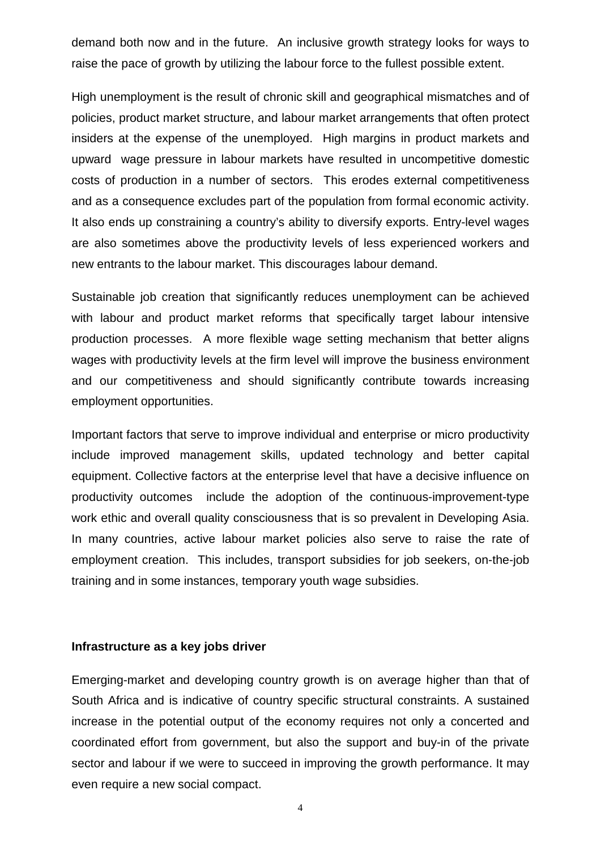demand both now and in the future. An inclusive growth strategy looks for ways to raise the pace of growth by utilizing the labour force to the fullest possible extent.

High unemployment is the result of chronic skill and geographical mismatches and of policies, product market structure, and labour market arrangements that often protect insiders at the expense of the unemployed. High margins in product markets and upward wage pressure in labour markets have resulted in uncompetitive domestic costs of production in a number of sectors. This erodes external competitiveness and as a consequence excludes part of the population from formal economic activity. It also ends up constraining a country's ability to diversify exports. Entry-level wages are also sometimes above the productivity levels of less experienced workers and new entrants to the labour market. This discourages labour demand.

Sustainable job creation that significantly reduces unemployment can be achieved with labour and product market reforms that specifically target labour intensive production processes. A more flexible wage setting mechanism that better aligns wages with productivity levels at the firm level will improve the business environment and our competitiveness and should significantly contribute towards increasing employment opportunities.

Important factors that serve to improve individual and enterprise or micro productivity include improved management skills, updated technology and better capital equipment. Collective factors at the enterprise level that have a decisive influence on productivity outcomes include the adoption of the continuous-improvement-type work ethic and overall quality consciousness that is so prevalent in Developing Asia. In many countries, active labour market policies also serve to raise the rate of employment creation. This includes, transport subsidies for job seekers, on-the-job training and in some instances, temporary youth wage subsidies.

#### **Infrastructure as a key jobs driver**

Emerging-market and developing country growth is on average higher than that of South Africa and is indicative of country specific structural constraints. A sustained increase in the potential output of the economy requires not only a concerted and coordinated effort from government, but also the support and buy-in of the private sector and labour if we were to succeed in improving the growth performance. It may even require a new social compact.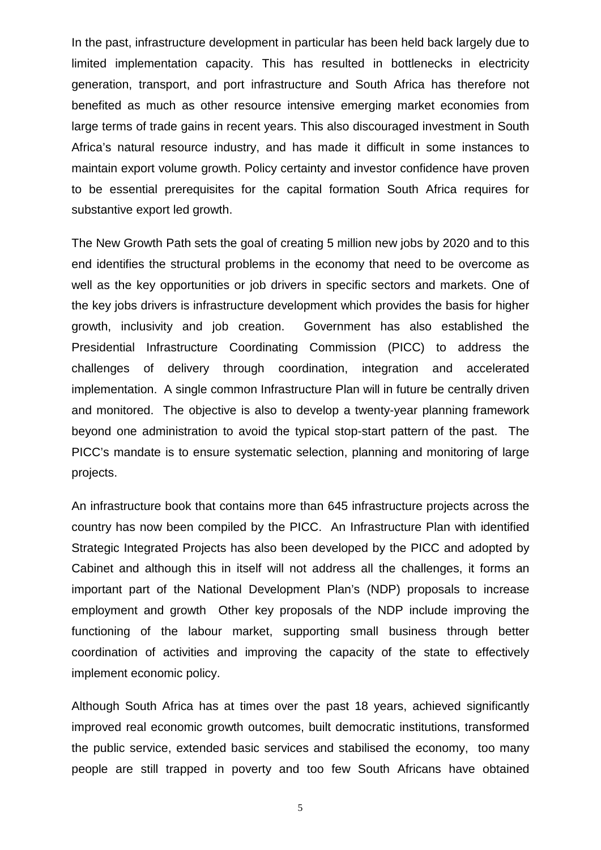In the past, infrastructure development in particular has been held back largely due to limited implementation capacity. This has resulted in bottlenecks in electricity generation, transport, and port infrastructure and South Africa has therefore not benefited as much as other resource intensive emerging market economies from large terms of trade gains in recent years. This also discouraged investment in South Africa's natural resource industry, and has made it difficult in some instances to maintain export volume growth. Policy certainty and investor confidence have proven to be essential prerequisites for the capital formation South Africa requires for substantive export led growth.

The New Growth Path sets the goal of creating 5 million new jobs by 2020 and to this end identifies the structural problems in the economy that need to be overcome as well as the key opportunities or job drivers in specific sectors and markets. One of the key jobs drivers is infrastructure development which provides the basis for higher growth, inclusivity and job creation. Government has also established the Presidential Infrastructure Coordinating Commission (PICC) to address the challenges of delivery through coordination, integration and accelerated implementation. A single common Infrastructure Plan will in future be centrally driven and monitored. The objective is also to develop a twenty-year planning framework beyond one administration to avoid the typical stop-start pattern of the past. The PICC's mandate is to ensure systematic selection, planning and monitoring of large projects.

An infrastructure book that contains more than 645 infrastructure projects across the country has now been compiled by the PICC. An Infrastructure Plan with identified Strategic Integrated Projects has also been developed by the PICC and adopted by Cabinet and although this in itself will not address all the challenges, it forms an important part of the National Development Plan's (NDP) proposals to increase employment and growth Other key proposals of the NDP include improving the functioning of the labour market, supporting small business through better coordination of activities and improving the capacity of the state to effectively implement economic policy.

Although South Africa has at times over the past 18 years, achieved significantly improved real economic growth outcomes, built democratic institutions, transformed the public service, extended basic services and stabilised the economy, too many people are still trapped in poverty and too few South Africans have obtained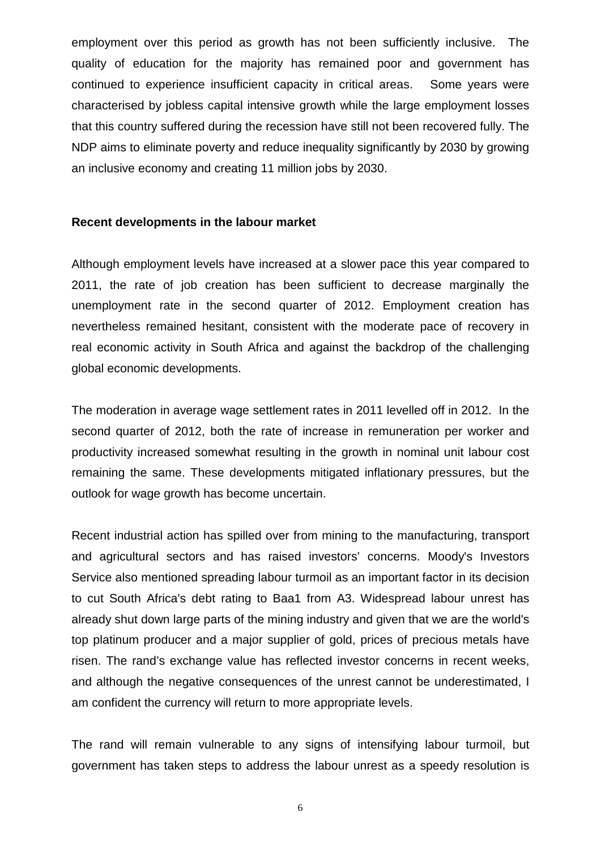employment over this period as growth has not been sufficiently inclusive. The quality of education for the majority has remained poor and government has continued to experience insufficient capacity in critical areas. Some years were characterised by jobless capital intensive growth while the large employment losses that this country suffered during the recession have still not been recovered fully. The NDP aims to eliminate poverty and reduce inequality significantly by 2030 by growing an inclusive economy and creating 11 million jobs by 2030.

#### **Recent developments in the labour market**

Although employment levels have increased at a slower pace this year compared to 2011, the rate of job creation has been sufficient to decrease marginally the unemployment rate in the second quarter of 2012. Employment creation has nevertheless remained hesitant, consistent with the moderate pace of recovery in real economic activity in South Africa and against the backdrop of the challenging global economic developments.

The moderation in average wage settlement rates in 2011 levelled off in 2012. In the second quarter of 2012, both the rate of increase in remuneration per worker and productivity increased somewhat resulting in the growth in nominal unit labour cost remaining the same. These developments mitigated inflationary pressures, but the outlook for wage growth has become uncertain.

Recent industrial action has spilled over from mining to the manufacturing, transport and agricultural sectors and has raised investors' concerns. Moody's Investors Service also mentioned spreading labour turmoil as an important factor in its decision to cut South Africa's debt rating to Baa1 from A3. Widespread labour unrest has already shut down large parts of the mining industry and given that we are the world's top platinum producer and a major supplier of gold, prices of precious metals have risen. The rand's exchange value has reflected investor concerns in recent weeks, and although the negative consequences of the unrest cannot be underestimated, I am confident the currency will return to more appropriate levels.

The rand will remain vulnerable to any signs of intensifying labour turmoil, but government has taken steps to address the labour unrest as a speedy resolution is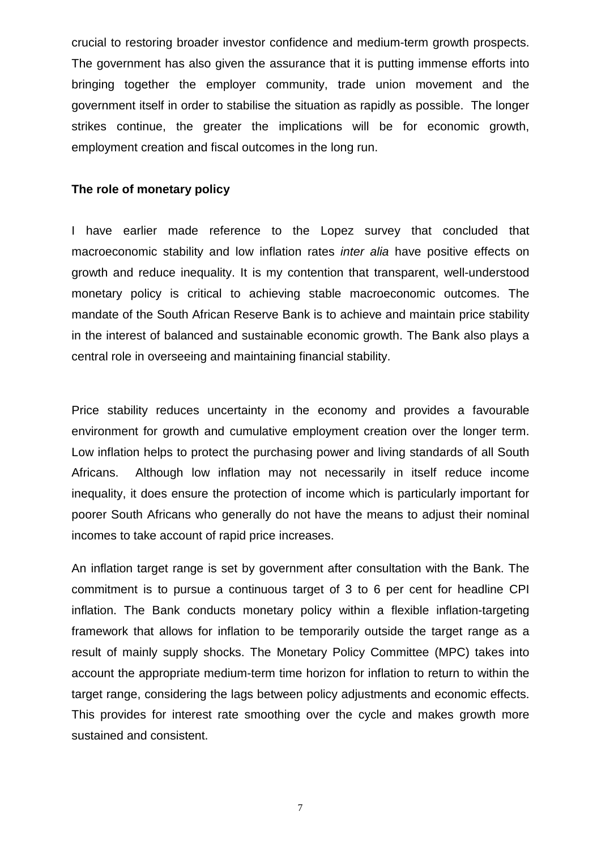crucial to restoring broader investor confidence and medium-term growth prospects. The government has also given the assurance that it is putting immense efforts into bringing together the employer community, trade union movement and the government itself in order to stabilise the situation as rapidly as possible. The longer strikes continue, the greater the implications will be for economic growth, employment creation and fiscal outcomes in the long run.

#### **The role of monetary policy**

I have earlier made reference to the Lopez survey that concluded that macroeconomic stability and low inflation rates *inter alia* have positive effects on growth and reduce inequality. It is my contention that transparent, well-understood monetary policy is critical to achieving stable macroeconomic outcomes. The mandate of the South African Reserve Bank is to achieve and maintain price stability in the interest of balanced and sustainable economic growth. The Bank also plays a central role in overseeing and maintaining financial stability.

Price stability reduces uncertainty in the economy and provides a favourable environment for growth and cumulative employment creation over the longer term. Low inflation helps to protect the purchasing power and living standards of all South Africans. Although low inflation may not necessarily in itself reduce income inequality, it does ensure the protection of income which is particularly important for poorer South Africans who generally do not have the means to adjust their nominal incomes to take account of rapid price increases.

An inflation target range is set by government after consultation with the Bank. The commitment is to pursue a continuous target of 3 to 6 per cent for headline CPI inflation. The Bank conducts monetary policy within a flexible inflation-targeting framework that allows for inflation to be temporarily outside the target range as a result of mainly supply shocks. The Monetary Policy Committee (MPC) takes into account the appropriate medium-term time horizon for inflation to return to within the target range, considering the lags between policy adjustments and economic effects. This provides for interest rate smoothing over the cycle and makes growth more sustained and consistent.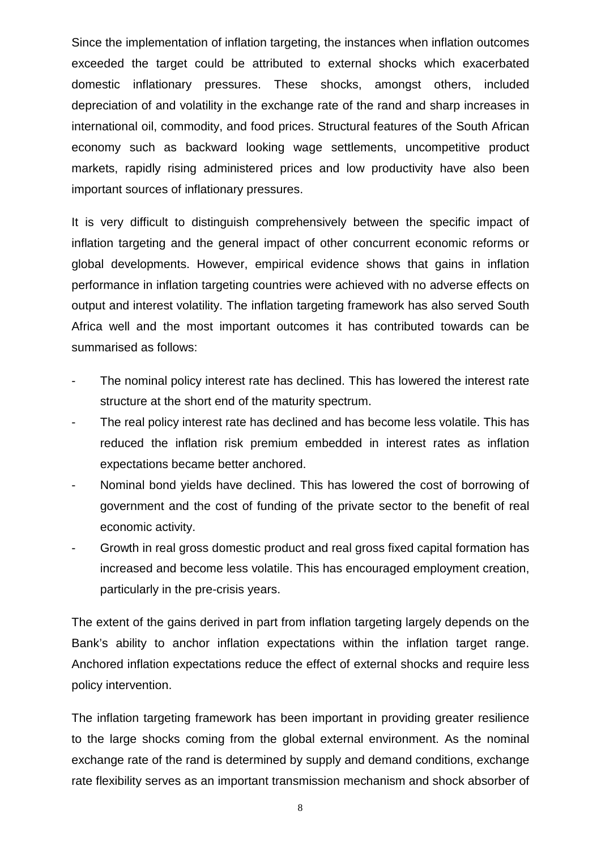Since the implementation of inflation targeting, the instances when inflation outcomes exceeded the target could be attributed to external shocks which exacerbated domestic inflationary pressures. These shocks, amongst others, included depreciation of and volatility in the exchange rate of the rand and sharp increases in international oil, commodity, and food prices. Structural features of the South African economy such as backward looking wage settlements, uncompetitive product markets, rapidly rising administered prices and low productivity have also been important sources of inflationary pressures.

It is very difficult to distinguish comprehensively between the specific impact of inflation targeting and the general impact of other concurrent economic reforms or global developments. However, empirical evidence shows that gains in inflation performance in inflation targeting countries were achieved with no adverse effects on output and interest volatility. The inflation targeting framework has also served South Africa well and the most important outcomes it has contributed towards can be summarised as follows:

- The nominal policy interest rate has declined. This has lowered the interest rate structure at the short end of the maturity spectrum.
- The real policy interest rate has declined and has become less volatile. This has reduced the inflation risk premium embedded in interest rates as inflation expectations became better anchored.
- Nominal bond yields have declined. This has lowered the cost of borrowing of government and the cost of funding of the private sector to the benefit of real economic activity.
- Growth in real gross domestic product and real gross fixed capital formation has increased and become less volatile. This has encouraged employment creation, particularly in the pre-crisis years.

The extent of the gains derived in part from inflation targeting largely depends on the Bank's ability to anchor inflation expectations within the inflation target range. Anchored inflation expectations reduce the effect of external shocks and require less policy intervention.

The inflation targeting framework has been important in providing greater resilience to the large shocks coming from the global external environment. As the nominal exchange rate of the rand is determined by supply and demand conditions, exchange rate flexibility serves as an important transmission mechanism and shock absorber of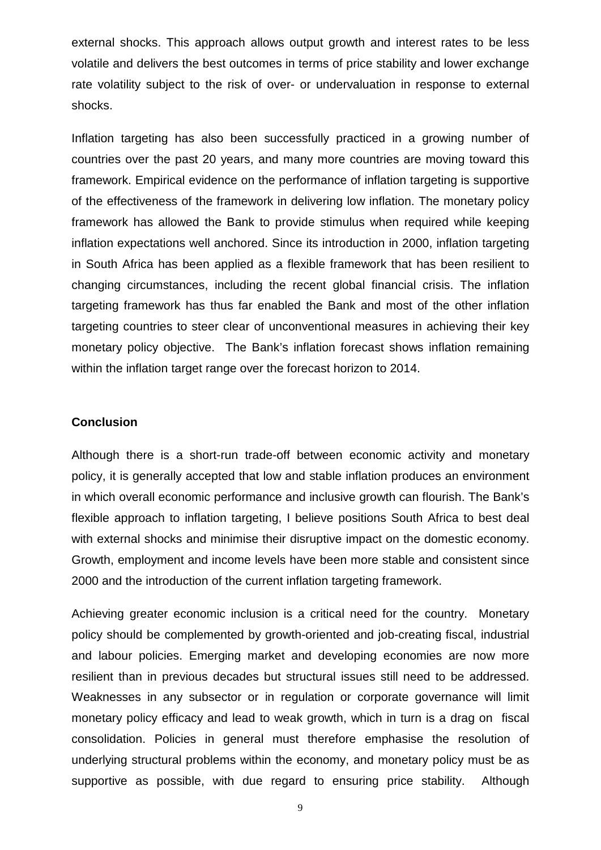external shocks. This approach allows output growth and interest rates to be less volatile and delivers the best outcomes in terms of price stability and lower exchange rate volatility subject to the risk of over- or undervaluation in response to external shocks.

Inflation targeting has also been successfully practiced in a growing number of countries over the past 20 years, and many more countries are moving toward this framework. Empirical evidence on the performance of inflation targeting is supportive of the effectiveness of the framework in delivering low inflation. The monetary policy framework has allowed the Bank to provide stimulus when required while keeping inflation expectations well anchored. Since its introduction in 2000, inflation targeting in South Africa has been applied as a flexible framework that has been resilient to changing circumstances, including the recent global financial crisis. The inflation targeting framework has thus far enabled the Bank and most of the other inflation targeting countries to steer clear of unconventional measures in achieving their key monetary policy objective. The Bank's inflation forecast shows inflation remaining within the inflation target range over the forecast horizon to 2014.

#### **Conclusion**

Although there is a short-run trade-off between economic activity and monetary policy, it is generally accepted that low and stable inflation produces an environment in which overall economic performance and inclusive growth can flourish. The Bank's flexible approach to inflation targeting, I believe positions South Africa to best deal with external shocks and minimise their disruptive impact on the domestic economy. Growth, employment and income levels have been more stable and consistent since 2000 and the introduction of the current inflation targeting framework.

Achieving greater economic inclusion is a critical need for the country. Monetary policy should be complemented by growth-oriented and job-creating fiscal, industrial and labour policies. Emerging market and developing economies are now more resilient than in previous decades but structural issues still need to be addressed. Weaknesses in any subsector or in regulation or corporate governance will limit monetary policy efficacy and lead to weak growth, which in turn is a drag on fiscal consolidation. Policies in general must therefore emphasise the resolution of underlying structural problems within the economy, and monetary policy must be as supportive as possible, with due regard to ensuring price stability. Although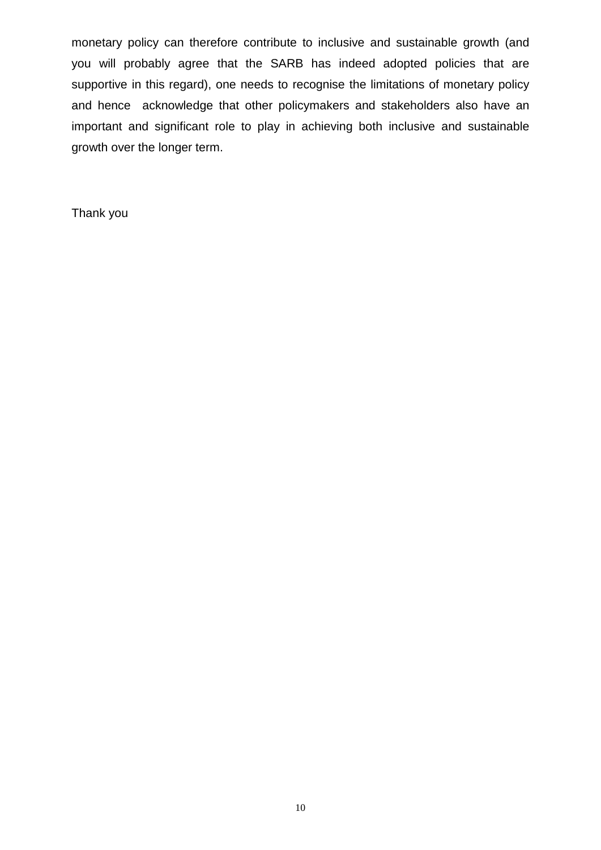monetary policy can therefore contribute to inclusive and sustainable growth (and you will probably agree that the SARB has indeed adopted policies that are supportive in this regard), one needs to recognise the limitations of monetary policy and hence acknowledge that other policymakers and stakeholders also have an important and significant role to play in achieving both inclusive and sustainable growth over the longer term.

Thank you